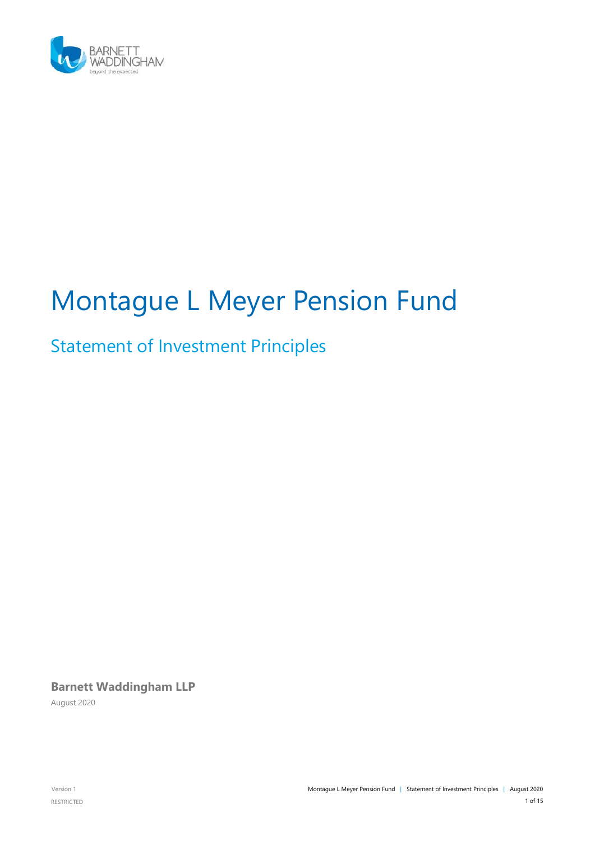

# Montague L Meyer Pension Fund

# Statement of Investment Principles

**Barnett Waddingham LLP** August 2020

RESTRICTED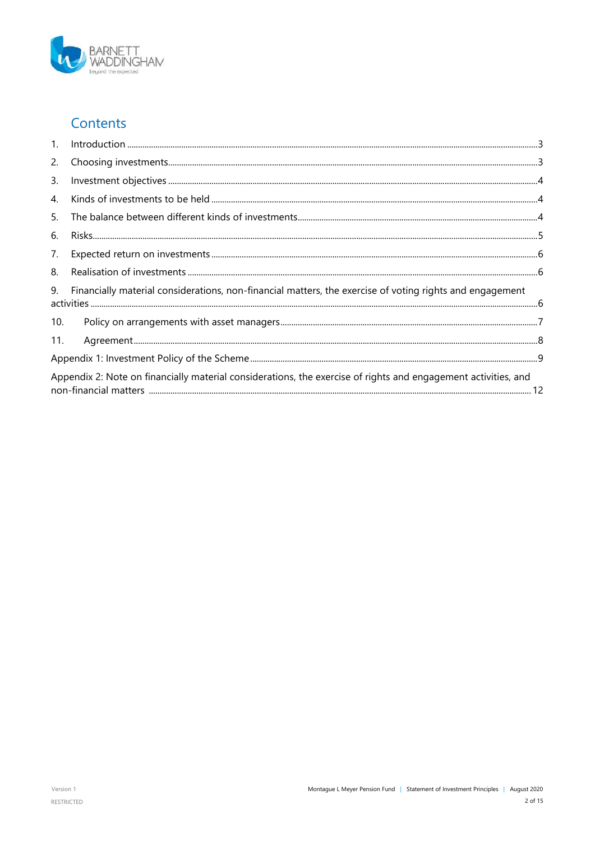

### Contents

| 1.  | $\label{prop:1} \mbox{Introduction} \,\, \ldots \,\, \ldots \,\, \ldots \,\, \ldots \,\, \ldots \,\, \ldots \,\, \ldots \,\, \ldots \,\, \ldots \,\, \ldots \,\, \ldots \,\, \ldots \,\, \ldots \,\, \ldots \,\, \ldots \,\, \ldots \,\, \ldots \,\, \ldots \,\, \ldots \,\, \ldots \,\, \ldots \,\, \ldots \,\, \ldots \,\, \ldots \,\, \ldots \,\, \ldots \,\, \ldots \,\, \ldots \,\, \ldots \,\, \ldots \,\, \ldots \,\, \ldots \,\, \ldots \,\, \ldots \,\,$ |  |
|-----|-------------------------------------------------------------------------------------------------------------------------------------------------------------------------------------------------------------------------------------------------------------------------------------------------------------------------------------------------------------------------------------------------------------------------------------------------------------------|--|
| 2.  |                                                                                                                                                                                                                                                                                                                                                                                                                                                                   |  |
| 3.  |                                                                                                                                                                                                                                                                                                                                                                                                                                                                   |  |
| 4.  |                                                                                                                                                                                                                                                                                                                                                                                                                                                                   |  |
| 5.  |                                                                                                                                                                                                                                                                                                                                                                                                                                                                   |  |
| 6.  |                                                                                                                                                                                                                                                                                                                                                                                                                                                                   |  |
| 7.  |                                                                                                                                                                                                                                                                                                                                                                                                                                                                   |  |
| 8.  |                                                                                                                                                                                                                                                                                                                                                                                                                                                                   |  |
| 9.  | Financially material considerations, non-financial matters, the exercise of voting rights and engagement                                                                                                                                                                                                                                                                                                                                                          |  |
| 10. |                                                                                                                                                                                                                                                                                                                                                                                                                                                                   |  |
| 11. |                                                                                                                                                                                                                                                                                                                                                                                                                                                                   |  |
|     |                                                                                                                                                                                                                                                                                                                                                                                                                                                                   |  |
|     | Appendix 2: Note on financially material considerations, the exercise of rights and engagement activities, and                                                                                                                                                                                                                                                                                                                                                    |  |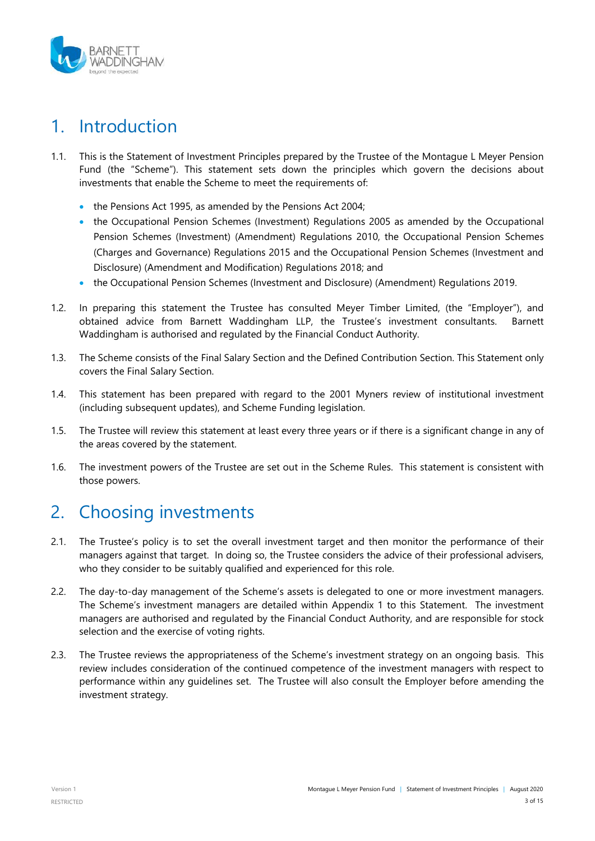

# <span id="page-2-0"></span>1. Introduction

- 1.1. This is the Statement of Investment Principles prepared by the Trustee of the Montague L Meyer Pension Fund (the "Scheme"). This statement sets down the principles which govern the decisions about investments that enable the Scheme to meet the requirements of:
	- the Pensions Act 1995, as amended by the Pensions Act 2004;
	- the Occupational Pension Schemes (Investment) Regulations 2005 as amended by the Occupational Pension Schemes (Investment) (Amendment) Regulations 2010, the Occupational Pension Schemes (Charges and Governance) Regulations 2015 and the Occupational Pension Schemes (Investment and Disclosure) (Amendment and Modification) Regulations 2018; and
	- the Occupational Pension Schemes (Investment and Disclosure) (Amendment) Regulations 2019.
- 1.2. In preparing this statement the Trustee has consulted Meyer Timber Limited, (the "Employer"), and obtained advice from Barnett Waddingham LLP, the Trustee's investment consultants. Barnett Waddingham is authorised and regulated by the Financial Conduct Authority.
- 1.3. The Scheme consists of the Final Salary Section and the Defined Contribution Section. This Statement only covers the Final Salary Section.
- 1.4. This statement has been prepared with regard to the 2001 Myners review of institutional investment (including subsequent updates), and Scheme Funding legislation.
- 1.5. The Trustee will review this statement at least every three years or if there is a significant change in any of the areas covered by the statement.
- 1.6. The investment powers of the Trustee are set out in the Scheme Rules. This statement is consistent with those powers.

### <span id="page-2-1"></span>2. Choosing investments

- 2.1. The Trustee's policy is to set the overall investment target and then monitor the performance of their managers against that target. In doing so, the Trustee considers the advice of their professional advisers, who they consider to be suitably qualified and experienced for this role.
- 2.2. The day-to-day management of the Scheme's assets is delegated to one or more investment managers. The Scheme's investment managers are detailed within Appendix 1 to this Statement. The investment managers are authorised and regulated by the Financial Conduct Authority, and are responsible for stock selection and the exercise of voting rights.
- 2.3. The Trustee reviews the appropriateness of the Scheme's investment strategy on an ongoing basis. This review includes consideration of the continued competence of the investment managers with respect to performance within any guidelines set. The Trustee will also consult the Employer before amending the investment strategy.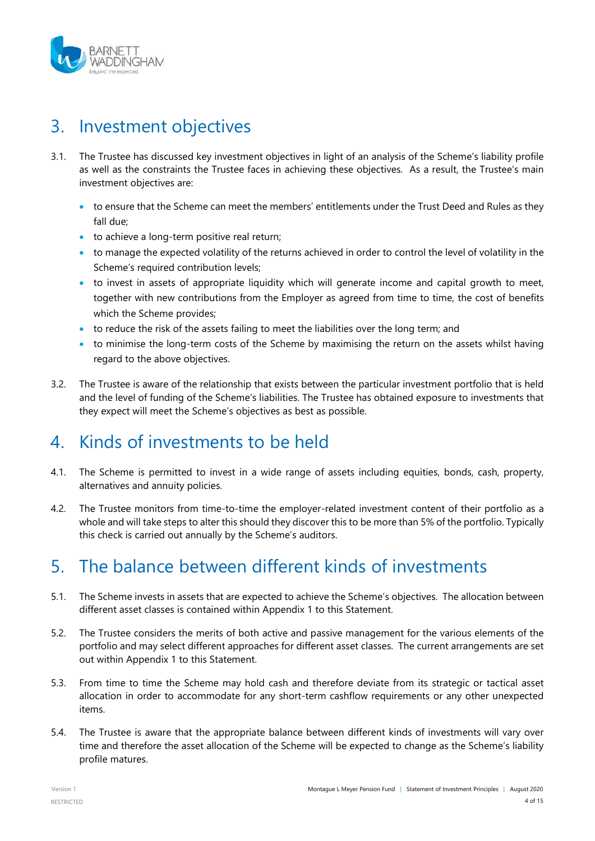

### <span id="page-3-0"></span>3. Investment objectives

- 3.1. The Trustee has discussed key investment objectives in light of an analysis of the Scheme's liability profile as well as the constraints the Trustee faces in achieving these objectives. As a result, the Trustee's main investment objectives are:
	- to ensure that the Scheme can meet the members' entitlements under the Trust Deed and Rules as they fall due;
	- to achieve a long-term positive real return;
	- to manage the expected volatility of the returns achieved in order to control the level of volatility in the Scheme's required contribution levels;
	- to invest in assets of appropriate liquidity which will generate income and capital growth to meet, together with new contributions from the Employer as agreed from time to time, the cost of benefits which the Scheme provides;
	- to reduce the risk of the assets failing to meet the liabilities over the long term; and
	- to minimise the long-term costs of the Scheme by maximising the return on the assets whilst having regard to the above objectives.
- 3.2. The Trustee is aware of the relationship that exists between the particular investment portfolio that is held and the level of funding of the Scheme's liabilities. The Trustee has obtained exposure to investments that they expect will meet the Scheme's objectives as best as possible.

# <span id="page-3-1"></span>4. Kinds of investments to be held

- 4.1. The Scheme is permitted to invest in a wide range of assets including equities, bonds, cash, property, alternatives and annuity policies.
- 4.2. The Trustee monitors from time-to-time the employer-related investment content of their portfolio as a whole and will take steps to alter this should they discover this to be more than 5% of the portfolio. Typically this check is carried out annually by the Scheme's auditors.

# <span id="page-3-2"></span>5. The balance between different kinds of investments

- 5.1. The Scheme invests in assets that are expected to achieve the Scheme's objectives. The allocation between different asset classes is contained within Appendix 1 to this Statement.
- 5.2. The Trustee considers the merits of both active and passive management for the various elements of the portfolio and may select different approaches for different asset classes. The current arrangements are set out within Appendix 1 to this Statement.
- 5.3. From time to time the Scheme may hold cash and therefore deviate from its strategic or tactical asset allocation in order to accommodate for any short-term cashflow requirements or any other unexpected items.
- 5.4. The Trustee is aware that the appropriate balance between different kinds of investments will vary over time and therefore the asset allocation of the Scheme will be expected to change as the Scheme's liability profile matures.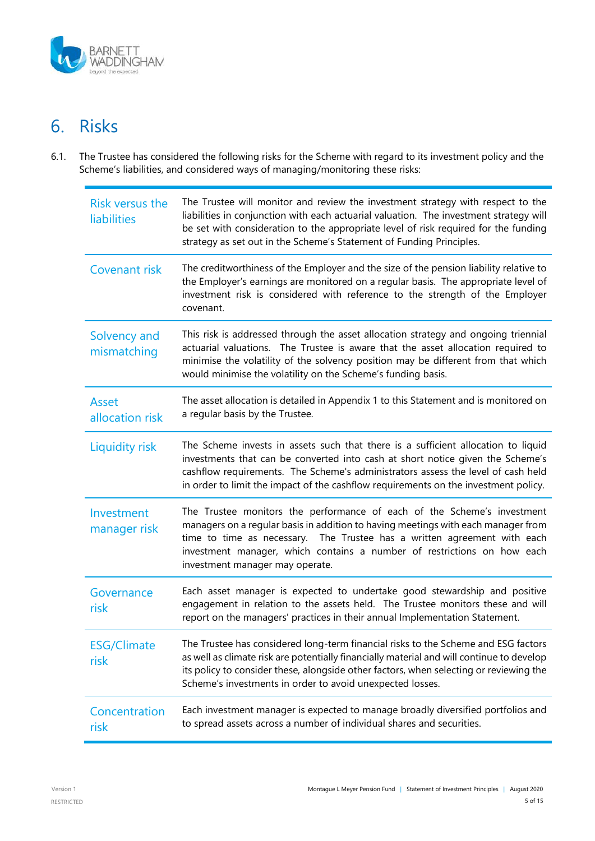

# <span id="page-4-0"></span>6. Risks

6.1. The Trustee has considered the following risks for the Scheme with regard to its investment policy and the Scheme's liabilities, and considered ways of managing/monitoring these risks:

| <b>Risk versus the</b><br><b>liabilities</b> | The Trustee will monitor and review the investment strategy with respect to the<br>liabilities in conjunction with each actuarial valuation. The investment strategy will<br>be set with consideration to the appropriate level of risk required for the funding<br>strategy as set out in the Scheme's Statement of Funding Principles.               |
|----------------------------------------------|--------------------------------------------------------------------------------------------------------------------------------------------------------------------------------------------------------------------------------------------------------------------------------------------------------------------------------------------------------|
| Covenant risk                                | The creditworthiness of the Employer and the size of the pension liability relative to<br>the Employer's earnings are monitored on a regular basis. The appropriate level of<br>investment risk is considered with reference to the strength of the Employer<br>covenant.                                                                              |
| Solvency and<br>mismatching                  | This risk is addressed through the asset allocation strategy and ongoing triennial<br>actuarial valuations. The Trustee is aware that the asset allocation required to<br>minimise the volatility of the solvency position may be different from that which<br>would minimise the volatility on the Scheme's funding basis.                            |
| Asset<br>allocation risk                     | The asset allocation is detailed in Appendix 1 to this Statement and is monitored on<br>a regular basis by the Trustee.                                                                                                                                                                                                                                |
| <b>Liquidity risk</b>                        | The Scheme invests in assets such that there is a sufficient allocation to liquid<br>investments that can be converted into cash at short notice given the Scheme's<br>cashflow requirements. The Scheme's administrators assess the level of cash held<br>in order to limit the impact of the cashflow requirements on the investment policy.         |
| Investment<br>manager risk                   | The Trustee monitors the performance of each of the Scheme's investment<br>managers on a regular basis in addition to having meetings with each manager from<br>time to time as necessary. The Trustee has a written agreement with each<br>investment manager, which contains a number of restrictions on how each<br>investment manager may operate. |
| Governance<br>risk                           | Each asset manager is expected to undertake good stewardship and positive<br>engagement in relation to the assets held. The Trustee monitors these and will<br>report on the managers' practices in their annual Implementation Statement.                                                                                                             |
| <b>ESG/Climate</b><br>risk                   | The Trustee has considered long-term financial risks to the Scheme and ESG factors<br>as well as climate risk are potentially financially material and will continue to develop<br>its policy to consider these, alongside other factors, when selecting or reviewing the<br>Scheme's investments in order to avoid unexpected losses.                 |
| Concentration<br>risk                        | Each investment manager is expected to manage broadly diversified portfolios and<br>to spread assets across a number of individual shares and securities.                                                                                                                                                                                              |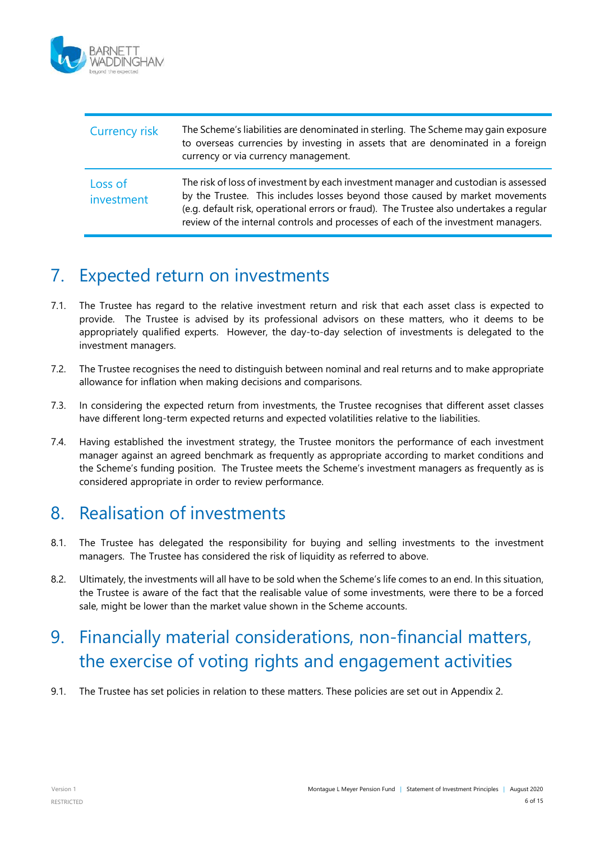

| <b>Currency risk</b>  | The Scheme's liabilities are denominated in sterling. The Scheme may gain exposure<br>to overseas currencies by investing in assets that are denominated in a foreign<br>currency or via currency management.                                                                                                                                       |
|-----------------------|-----------------------------------------------------------------------------------------------------------------------------------------------------------------------------------------------------------------------------------------------------------------------------------------------------------------------------------------------------|
| Loss of<br>investment | The risk of loss of investment by each investment manager and custodian is assessed<br>by the Trustee. This includes losses beyond those caused by market movements<br>(e.g. default risk, operational errors or fraud). The Trustee also undertakes a regular<br>review of the internal controls and processes of each of the investment managers. |

### <span id="page-5-0"></span>7. Expected return on investments

- 7.1. The Trustee has regard to the relative investment return and risk that each asset class is expected to provide. The Trustee is advised by its professional advisors on these matters, who it deems to be appropriately qualified experts. However, the day-to-day selection of investments is delegated to the investment managers.
- 7.2. The Trustee recognises the need to distinguish between nominal and real returns and to make appropriate allowance for inflation when making decisions and comparisons.
- 7.3. In considering the expected return from investments, the Trustee recognises that different asset classes have different long-term expected returns and expected volatilities relative to the liabilities.
- 7.4. Having established the investment strategy, the Trustee monitors the performance of each investment manager against an agreed benchmark as frequently as appropriate according to market conditions and the Scheme's funding position. The Trustee meets the Scheme's investment managers as frequently as is considered appropriate in order to review performance.

### <span id="page-5-1"></span>8. Realisation of investments

- 8.1. The Trustee has delegated the responsibility for buying and selling investments to the investment managers. The Trustee has considered the risk of liquidity as referred to above.
- 8.2. Ultimately, the investments will all have to be sold when the Scheme's life comes to an end. In this situation, the Trustee is aware of the fact that the realisable value of some investments, were there to be a forced sale, might be lower than the market value shown in the Scheme accounts.

# <span id="page-5-2"></span>9. Financially material considerations, non-financial matters, the exercise of voting rights and engagement activities

9.1. The Trustee has set policies in relation to these matters. These policies are set out in Appendix 2.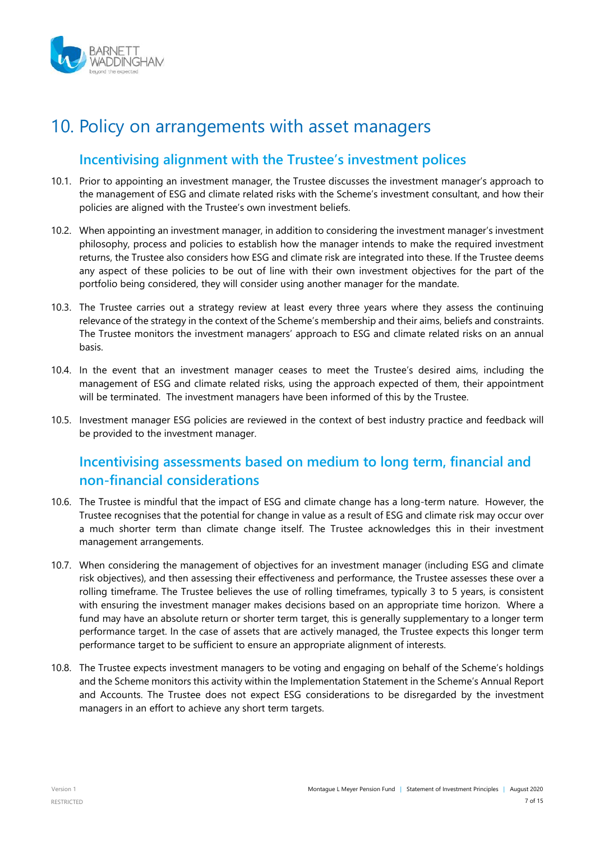

### <span id="page-6-0"></span>10. Policy on arrangements with asset managers

#### **Incentivising alignment with the Trustee's investment polices**

- 10.1. Prior to appointing an investment manager, the Trustee discusses the investment manager's approach to the management of ESG and climate related risks with the Scheme's investment consultant, and how their policies are aligned with the Trustee's own investment beliefs.
- 10.2. When appointing an investment manager, in addition to considering the investment manager's investment philosophy, process and policies to establish how the manager intends to make the required investment returns, the Trustee also considers how ESG and climate risk are integrated into these. If the Trustee deems any aspect of these policies to be out of line with their own investment objectives for the part of the portfolio being considered, they will consider using another manager for the mandate.
- 10.3. The Trustee carries out a strategy review at least every three years where they assess the continuing relevance of the strategy in the context of the Scheme's membership and their aims, beliefs and constraints. The Trustee monitors the investment managers' approach to ESG and climate related risks on an annual basis.
- 10.4. In the event that an investment manager ceases to meet the Trustee's desired aims, including the management of ESG and climate related risks, using the approach expected of them, their appointment will be terminated. The investment managers have been informed of this by the Trustee.
- 10.5. Investment manager ESG policies are reviewed in the context of best industry practice and feedback will be provided to the investment manager.

#### **Incentivising assessments based on medium to long term, financial and non-financial considerations**

- 10.6. The Trustee is mindful that the impact of ESG and climate change has a long-term nature. However, the Trustee recognises that the potential for change in value as a result of ESG and climate risk may occur over a much shorter term than climate change itself. The Trustee acknowledges this in their investment management arrangements.
- 10.7. When considering the management of objectives for an investment manager (including ESG and climate risk objectives), and then assessing their effectiveness and performance, the Trustee assesses these over a rolling timeframe. The Trustee believes the use of rolling timeframes, typically 3 to 5 years, is consistent with ensuring the investment manager makes decisions based on an appropriate time horizon. Where a fund may have an absolute return or shorter term target, this is generally supplementary to a longer term performance target. In the case of assets that are actively managed, the Trustee expects this longer term performance target to be sufficient to ensure an appropriate alignment of interests.
- 10.8. The Trustee expects investment managers to be voting and engaging on behalf of the Scheme's holdings and the Scheme monitors this activity within the Implementation Statement in the Scheme's Annual Report and Accounts. The Trustee does not expect ESG considerations to be disregarded by the investment managers in an effort to achieve any short term targets.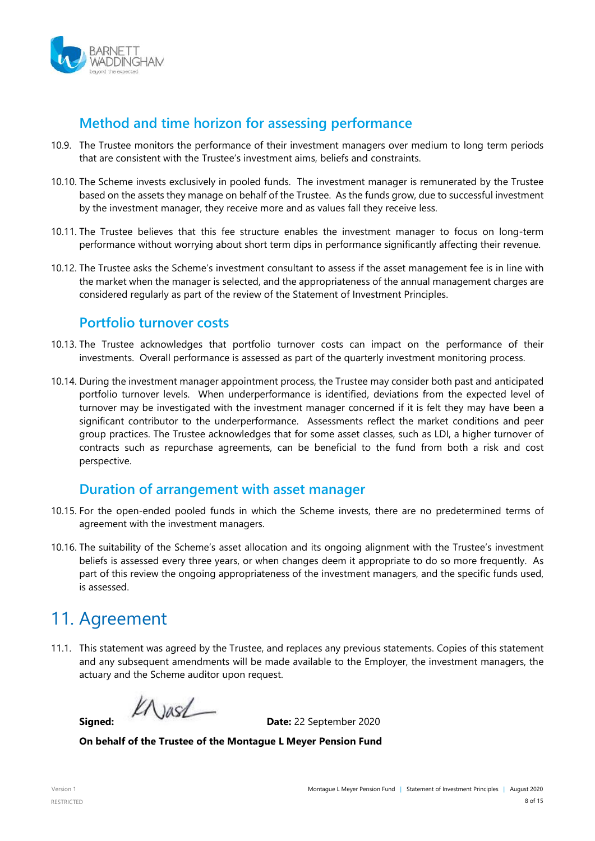

#### **Method and time horizon for assessing performance**

- 10.9. The Trustee monitors the performance of their investment managers over medium to long term periods that are consistent with the Trustee's investment aims, beliefs and constraints.
- 10.10. The Scheme invests exclusively in pooled funds. The investment manager is remunerated by the Trustee based on the assets they manage on behalf of the Trustee. As the funds grow, due to successful investment by the investment manager, they receive more and as values fall they receive less.
- 10.11. The Trustee believes that this fee structure enables the investment manager to focus on long-term performance without worrying about short term dips in performance significantly affecting their revenue.
- 10.12. The Trustee asks the Scheme's investment consultant to assess if the asset management fee is in line with the market when the manager is selected, and the appropriateness of the annual management charges are considered regularly as part of the review of the Statement of Investment Principles.

#### **Portfolio turnover costs**

- 10.13. The Trustee acknowledges that portfolio turnover costs can impact on the performance of their investments. Overall performance is assessed as part of the quarterly investment monitoring process.
- 10.14. During the investment manager appointment process, the Trustee may consider both past and anticipated portfolio turnover levels. When underperformance is identified, deviations from the expected level of turnover may be investigated with the investment manager concerned if it is felt they may have been a significant contributor to the underperformance. Assessments reflect the market conditions and peer group practices. The Trustee acknowledges that for some asset classes, such as LDI, a higher turnover of contracts such as repurchase agreements, can be beneficial to the fund from both a risk and cost perspective.

#### **Duration of arrangement with asset manager**

- 10.15. For the open-ended pooled funds in which the Scheme invests, there are no predetermined terms of agreement with the investment managers.
- 10.16. The suitability of the Scheme's asset allocation and its ongoing alignment with the Trustee's investment beliefs is assessed every three years, or when changes deem it appropriate to do so more frequently. As part of this review the ongoing appropriateness of the investment managers, and the specific funds used, is assessed.

# <span id="page-7-0"></span>11. Agreement

11.1. This statement was agreed by the Trustee, and replaces any previous statements. Copies of this statement and any subsequent amendments will be made available to the Employer, the investment managers, the actuary and the Scheme auditor upon request.

 $k$ Alash

**Signed: Date:** 22 September 2020

**On behalf of the Trustee of the Montague L Meyer Pension Fund**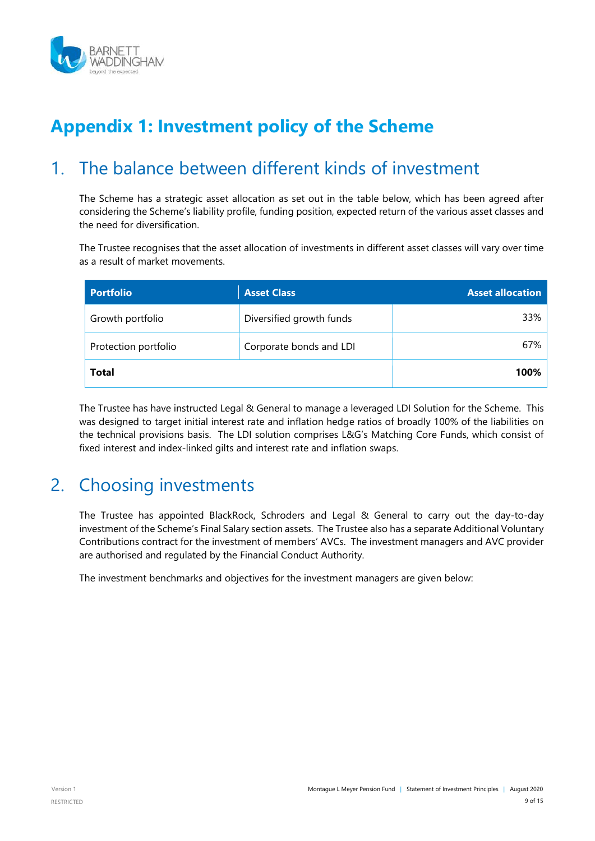

# **Appendix 1: Investment policy of the Scheme**

### <span id="page-8-0"></span>1. The balance between different kinds of investment

The Scheme has a strategic asset allocation as set out in the table below, which has been agreed after considering the Scheme's liability profile, funding position, expected return of the various asset classes and the need for diversification.

The Trustee recognises that the asset allocation of investments in different asset classes will vary over time as a result of market movements.

| <b>Portfolio</b>     | <b>Asset Class</b>       | <b>Asset allocation</b> |
|----------------------|--------------------------|-------------------------|
| Growth portfolio     | Diversified growth funds | 33%                     |
| Protection portfolio | Corporate bonds and LDI  | 67%                     |
| <b>Total</b>         |                          | 100%                    |

The Trustee has have instructed Legal & General to manage a leveraged LDI Solution for the Scheme. This was designed to target initial interest rate and inflation hedge ratios of broadly 100% of the liabilities on the technical provisions basis. The LDI solution comprises L&G's Matching Core Funds, which consist of fixed interest and index-linked gilts and interest rate and inflation swaps.

# <span id="page-8-1"></span>2. Choosing investments

The Trustee has appointed BlackRock, Schroders and Legal & General to carry out the day-to-day investment of the Scheme's Final Salary section assets. The Trustee also has a separate Additional Voluntary Contributions contract for the investment of members' AVCs. The investment managers and AVC provider are authorised and regulated by the Financial Conduct Authority.

The investment benchmarks and objectives for the investment managers are given below: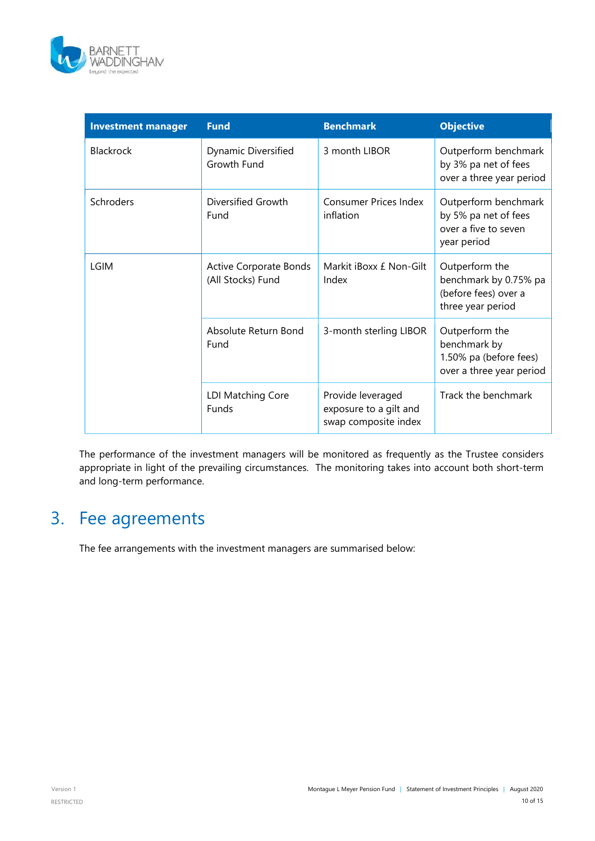

| <b>Investment manager</b> | <b>Fund</b>                                        | <b>Benchmark</b>                                                    | <b>Objective</b>                                                                     |
|---------------------------|----------------------------------------------------|---------------------------------------------------------------------|--------------------------------------------------------------------------------------|
| <b>Blackrock</b>          | Dynamic Diversified<br>Growth Fund                 | 3 month LIBOR                                                       | Outperform benchmark<br>by 3% pa net of fees<br>over a three year period             |
| Schroders                 | Diversified Growth<br>Fund                         | <b>Consumer Prices Index</b><br>inflation                           | Outperform benchmark<br>by 5% pa net of fees<br>over a five to seven<br>year period  |
| <b>LGIM</b>               | <b>Active Corporate Bonds</b><br>(All Stocks) Fund | Markit iBoxx £ Non-Gilt<br>Index                                    | Outperform the<br>benchmark by 0.75% pa<br>(before fees) over a<br>three year period |
|                           | Absolute Return Bond<br>Fund                       | 3-month sterling LIBOR                                              | Outperform the<br>benchmark by<br>1.50% pa (before fees)<br>over a three year period |
|                           | LDI Matching Core<br>Funds                         | Provide leveraged<br>exposure to a gilt and<br>swap composite index | Track the benchmark                                                                  |

The performance of the investment managers will be monitored as frequently as the Trustee considers appropriate in light of the prevailing circumstances. The monitoring takes into account both short-term and long-term performance.

# 3. Fee agreements

The fee arrangements with the investment managers are summarised below: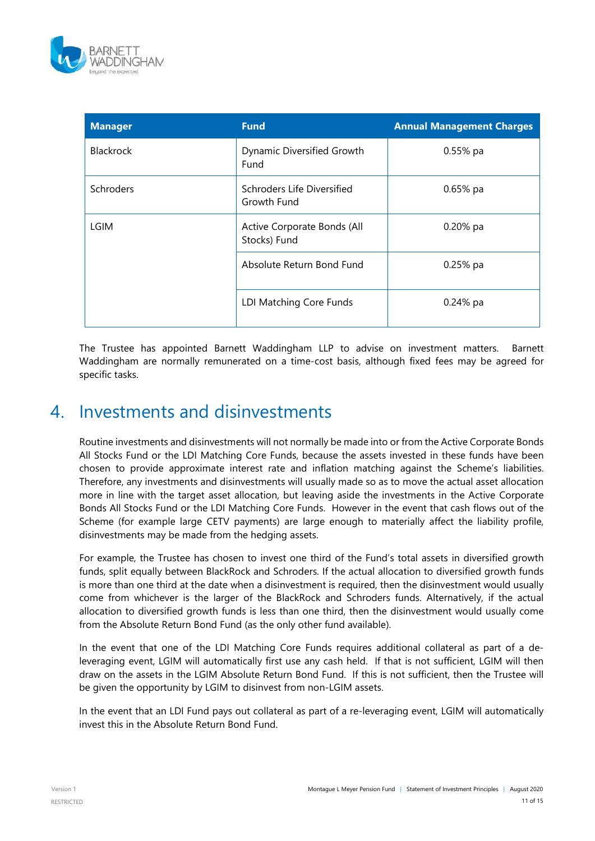

| <b>Manager</b>   | <b>Fund</b>                                 | <b>Annual Management Charges</b> |
|------------------|---------------------------------------------|----------------------------------|
| <b>Blackrock</b> | Dynamic Diversified Growth<br>Fund          | $0.55%$ pa                       |
| Schroders        | Schroders Life Diversified<br>Growth Fund   | $0.65%$ pa                       |
| <b>LGIM</b>      | Active Corporate Bonds (All<br>Stocks) Fund | 0.20% pa                         |
|                  | Absolute Return Bond Fund                   | $0.25%$ pa                       |
|                  | LDI Matching Core Funds                     | $0.24%$ pa                       |

The Trustee has appointed Barnett Waddingham LLP to advise on investment matters. Barnett Waddingham are normally remunerated on a time-cost basis, although fixed fees may be agreed for specific tasks.

### 4. Investments and disinvestments

Routine investments and disinvestments will not normally be made into or from the Active Corporate Bonds All Stocks Fund or the LDI Matching Core Funds, because the assets invested in these funds have been chosen to provide approximate interest rate and inflation matching against the Scheme's liabilities. Therefore, any investments and disinvestments will usually made so as to move the actual asset allocation more in line with the target asset allocation, but leaving aside the investments in the Active Corporate Bonds All Stocks Fund or the LDI Matching Core Funds. However in the event that cash flows out of the Scheme (for example large CETV payments) are large enough to materially affect the liability profile, disinvestments may be made from the hedging assets.

For example, the Trustee has chosen to invest one third of the Fund's total assets in diversified growth funds, split equally between BlackRock and Schroders. If the actual allocation to diversified growth funds is more than one third at the date when a disinvestment is required, then the disinvestment would usually come from whichever is the larger of the BlackRock and Schroders funds. Alternatively, if the actual allocation to diversified growth funds is less than one third, then the disinvestment would usually come from the Absolute Return Bond Fund (as the only other fund available).

In the event that one of the LDI Matching Core Funds requires additional collateral as part of a deleveraging event, LGIM will automatically first use any cash held. If that is not sufficient, LGIM will then draw on the assets in the LGIM Absolute Return Bond Fund. If this is not sufficient, then the Trustee will be given the opportunity by LGIM to disinvest from non-LGIM assets.

In the event that an LDI Fund pays out collateral as part of a re-leveraging event, LGIM will automatically invest this in the Absolute Return Bond Fund.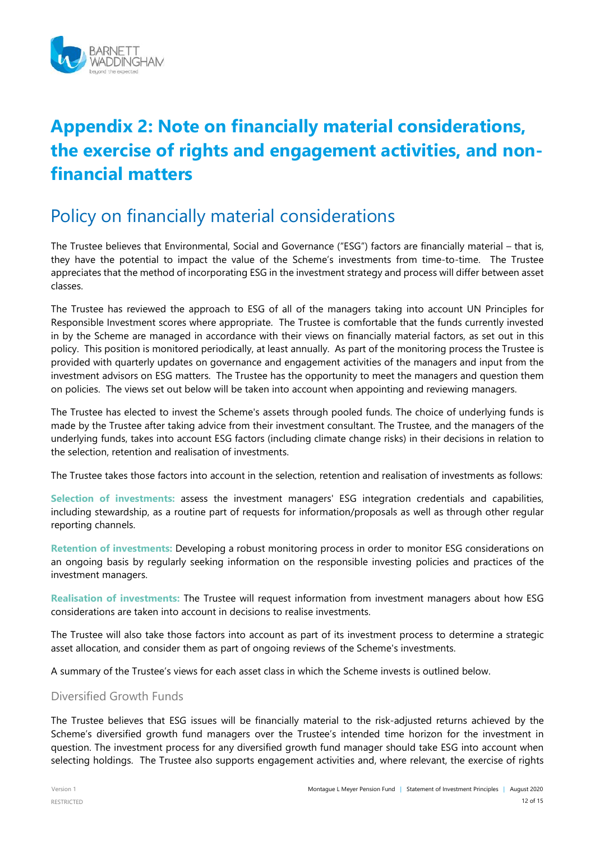

# **Appendix 2: Note on financially material considerations, the exercise of rights and engagement activities, and nonfinancial matters**

### Policy on financially material considerations

The Trustee believes that Environmental, Social and Governance ("ESG") factors are financially material – that is, they have the potential to impact the value of the Scheme's investments from time-to-time. The Trustee appreciates that the method of incorporating ESG in the investment strategy and process will differ between asset classes.

The Trustee has reviewed the approach to ESG of all of the managers taking into account UN Principles for Responsible Investment scores where appropriate. The Trustee is comfortable that the funds currently invested in by the Scheme are managed in accordance with their views on financially material factors, as set out in this policy. This position is monitored periodically, at least annually. As part of the monitoring process the Trustee is provided with quarterly updates on governance and engagement activities of the managers and input from the investment advisors on ESG matters. The Trustee has the opportunity to meet the managers and question them on policies. The views set out below will be taken into account when appointing and reviewing managers.

The Trustee has elected to invest the Scheme's assets through pooled funds. The choice of underlying funds is made by the Trustee after taking advice from their investment consultant. The Trustee, and the managers of the underlying funds, takes into account ESG factors (including climate change risks) in their decisions in relation to the selection, retention and realisation of investments.

The Trustee takes those factors into account in the selection, retention and realisation of investments as follows:

**Selection of investments:** assess the investment managers' ESG integration credentials and capabilities, including stewardship, as a routine part of requests for information/proposals as well as through other regular reporting channels.

**Retention of investments:** Developing a robust monitoring process in order to monitor ESG considerations on an ongoing basis by regularly seeking information on the responsible investing policies and practices of the investment managers.

**Realisation of investments:** The Trustee will request information from investment managers about how ESG considerations are taken into account in decisions to realise investments.

The Trustee will also take those factors into account as part of its investment process to determine a strategic asset allocation, and consider them as part of ongoing reviews of the Scheme's investments.

A summary of the Trustee's views for each asset class in which the Scheme invests is outlined below.

#### Diversified Growth Funds

The Trustee believes that ESG issues will be financially material to the risk-adjusted returns achieved by the Scheme's diversified growth fund managers over the Trustee's intended time horizon for the investment in question. The investment process for any diversified growth fund manager should take ESG into account when selecting holdings. The Trustee also supports engagement activities and, where relevant, the exercise of rights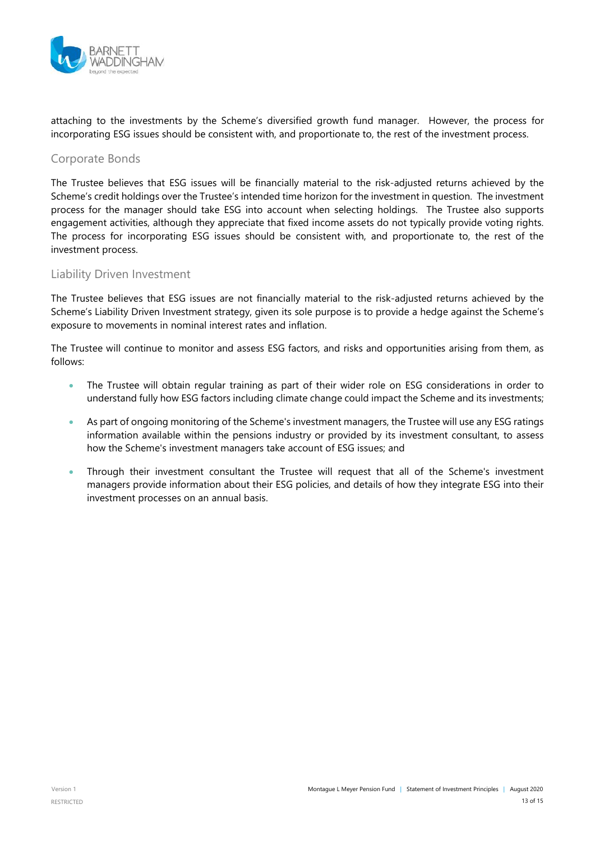

attaching to the investments by the Scheme's diversified growth fund manager. However, the process for incorporating ESG issues should be consistent with, and proportionate to, the rest of the investment process.

Corporate Bonds

The Trustee believes that ESG issues will be financially material to the risk-adjusted returns achieved by the Scheme's credit holdings over the Trustee's intended time horizon for the investment in question. The investment process for the manager should take ESG into account when selecting holdings. The Trustee also supports engagement activities, although they appreciate that fixed income assets do not typically provide voting rights. The process for incorporating ESG issues should be consistent with, and proportionate to, the rest of the investment process.

#### Liability Driven Investment

The Trustee believes that ESG issues are not financially material to the risk-adjusted returns achieved by the Scheme's Liability Driven Investment strategy, given its sole purpose is to provide a hedge against the Scheme's exposure to movements in nominal interest rates and inflation.

The Trustee will continue to monitor and assess ESG factors, and risks and opportunities arising from them, as follows:

- The Trustee will obtain regular training as part of their wider role on ESG considerations in order to understand fully how ESG factors including climate change could impact the Scheme and its investments;
- As part of ongoing monitoring of the Scheme's investment managers, the Trustee will use any ESG ratings information available within the pensions industry or provided by its investment consultant, to assess how the Scheme's investment managers take account of ESG issues; and
- Through their investment consultant the Trustee will request that all of the Scheme's investment managers provide information about their ESG policies, and details of how they integrate ESG into their investment processes on an annual basis.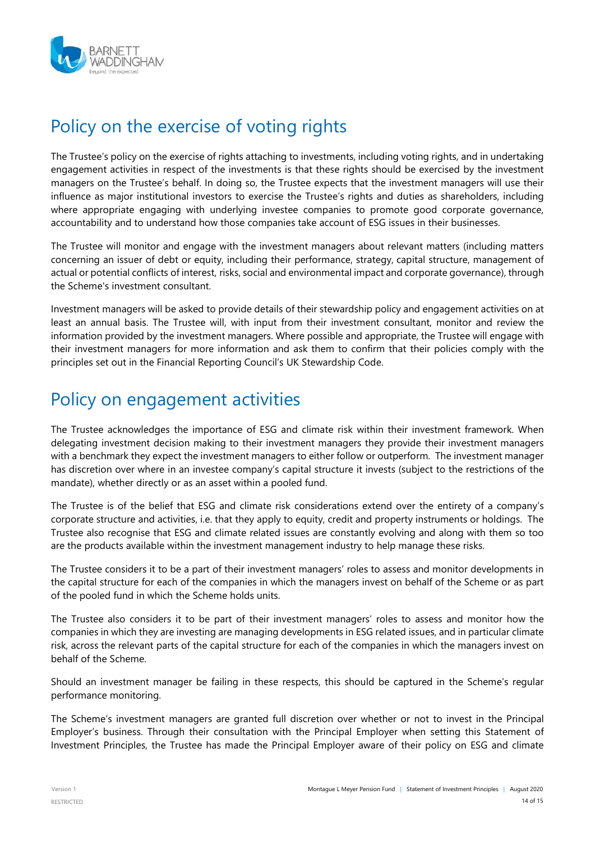

# Policy on the exercise of voting rights

The Trustee's policy on the exercise of rights attaching to investments, including voting rights, and in undertaking engagement activities in respect of the investments is that these rights should be exercised by the investment managers on the Trustee's behalf. In doing so, the Trustee expects that the investment managers will use their influence as major institutional investors to exercise the Trustee's rights and duties as shareholders, including where appropriate engaging with underlying investee companies to promote good corporate governance, accountability and to understand how those companies take account of ESG issues in their businesses.

The Trustee will monitor and engage with the investment managers about relevant matters (including matters concerning an issuer of debt or equity, including their performance, strategy, capital structure, management of actual or potential conflicts of interest, risks, social and environmental impact and corporate governance), through the Scheme's investment consultant.

Investment managers will be asked to provide details of their stewardship policy and engagement activities on at least an annual basis. The Trustee will, with input from their investment consultant, monitor and review the information provided by the investment managers. Where possible and appropriate, the Trustee will engage with their investment managers for more information and ask them to confirm that their policies comply with the principles set out in the Financial Reporting Council's UK Stewardship Code.

# Policy on engagement activities

The Trustee acknowledges the importance of ESG and climate risk within their investment framework. When delegating investment decision making to their investment managers they provide their investment managers with a benchmark they expect the investment managers to either follow or outperform. The investment manager has discretion over where in an investee company's capital structure it invests (subject to the restrictions of the mandate), whether directly or as an asset within a pooled fund.

The Trustee is of the belief that ESG and climate risk considerations extend over the entirety of a company's corporate structure and activities, i.e. that they apply to equity, credit and property instruments or holdings. The Trustee also recognise that ESG and climate related issues are constantly evolving and along with them so too are the products available within the investment management industry to help manage these risks.

The Trustee considers it to be a part of their investment managers' roles to assess and monitor developments in the capital structure for each of the companies in which the managers invest on behalf of the Scheme or as part of the pooled fund in which the Scheme holds units.

The Trustee also considers it to be part of their investment managers' roles to assess and monitor how the companies in which they are investing are managing developments in ESG related issues, and in particular climate risk, across the relevant parts of the capital structure for each of the companies in which the managers invest on behalf of the Scheme.

Should an investment manager be failing in these respects, this should be captured in the Scheme's regular performance monitoring.

The Scheme's investment managers are granted full discretion over whether or not to invest in the Principal Employer's business. Through their consultation with the Principal Employer when setting this Statement of Investment Principles, the Trustee has made the Principal Employer aware of their policy on ESG and climate